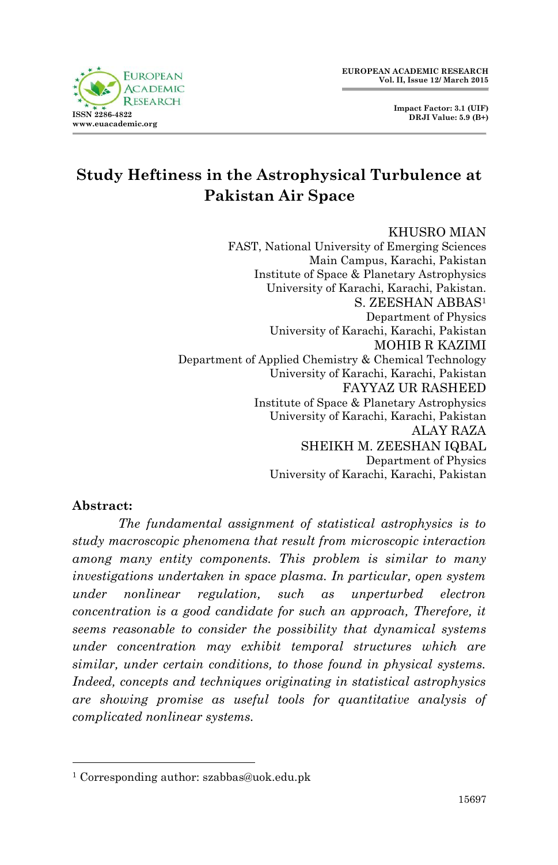

# **Study Heftiness in the Astrophysical Turbulence at Pakistan Air Space**

#### KHUSRO MIAN

FAST, National University of Emerging Sciences Main Campus, Karachi, Pakistan Institute of Space & Planetary Astrophysics University of Karachi, Karachi, Pakistan. S. ZEESHAN ABBAS<sup>1</sup> Department of Physics University of Karachi, Karachi, Pakistan MOHIB R KAZIMI Department of Applied Chemistry & Chemical Technology University of Karachi, Karachi, Pakistan FAYYAZ UR RASHEED Institute of Space & Planetary Astrophysics University of Karachi, Karachi, Pakistan ALAY RAZA SHEIKH M. ZEESHAN IQBAL Department of Physics University of Karachi, Karachi, Pakistan

#### **Abstract:**

1

*The fundamental assignment of statistical astrophysics is to study macroscopic phenomena that result from microscopic interaction among many entity components. This problem is similar to many investigations undertaken in space plasma. In particular, open system under nonlinear regulation, such as unperturbed electron concentration is a good candidate for such an approach, Therefore, it seems reasonable to consider the possibility that dynamical systems under concentration may exhibit temporal structures which are similar, under certain conditions, to those found in physical systems. Indeed, concepts and techniques originating in statistical astrophysics are showing promise as useful tools for quantitative analysis of complicated nonlinear systems.* 

<sup>1</sup> Corresponding author: szabbas@uok.edu.pk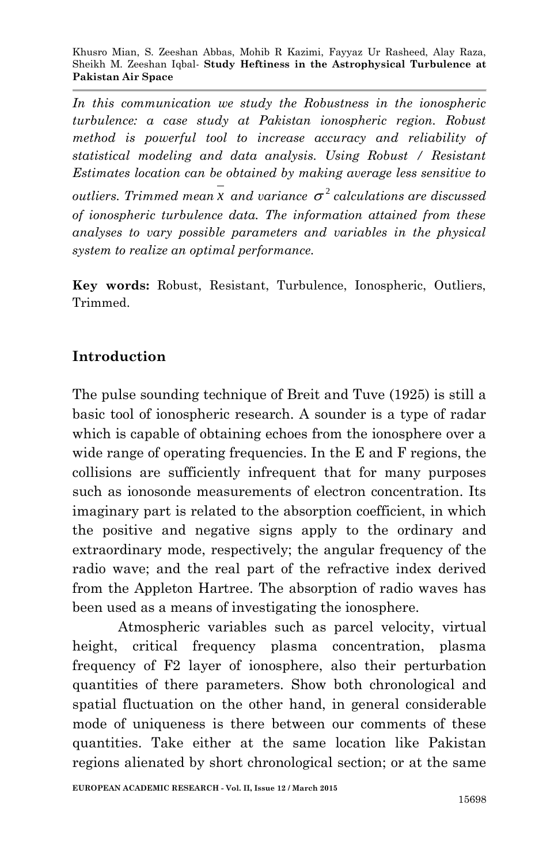*In this communication we study the Robustness in the ionospheric turbulence: a case study at Pakistan ionospheric region. Robust method is powerful tool to increase accuracy and reliability of statistical modeling and data analysis. Using Robust / Resistant Estimates location can be obtained by making average less sensitive to outliers. Trimmed mean*  $x$  *and variance*  $\sigma^2$  *calculations are discussed of ionospheric turbulence data. The information attained from these analyses to vary possible parameters and variables in the physical system to realize an optimal performance.* 

**Key words:** Robust, Resistant, Turbulence, Ionospheric, Outliers, Trimmed.

### **Introduction**

The pulse sounding technique of Breit and Tuve (1925) is still a basic tool of ionospheric research. A sounder is a type of radar which is capable of obtaining echoes from the ionosphere over a wide range of operating frequencies. In the E and F regions, the collisions are sufficiently infrequent that for many purposes such as ionosonde measurements of electron concentration. Its imaginary part is related to the absorption coefficient, in which the positive and negative signs apply to the ordinary and extraordinary mode, respectively; the angular frequency of the radio wave; and the real part of the refractive index derived from the Appleton Hartree. The absorption of radio waves has been used as a means of investigating the ionosphere.

Atmospheric variables such as parcel velocity, virtual height, critical frequency plasma concentration, plasma frequency of F2 layer of ionosphere, also their perturbation quantities of there parameters. Show both chronological and spatial fluctuation on the other hand, in general considerable mode of uniqueness is there between our comments of these quantities. Take either at the same location like Pakistan regions alienated by short chronological section; or at the same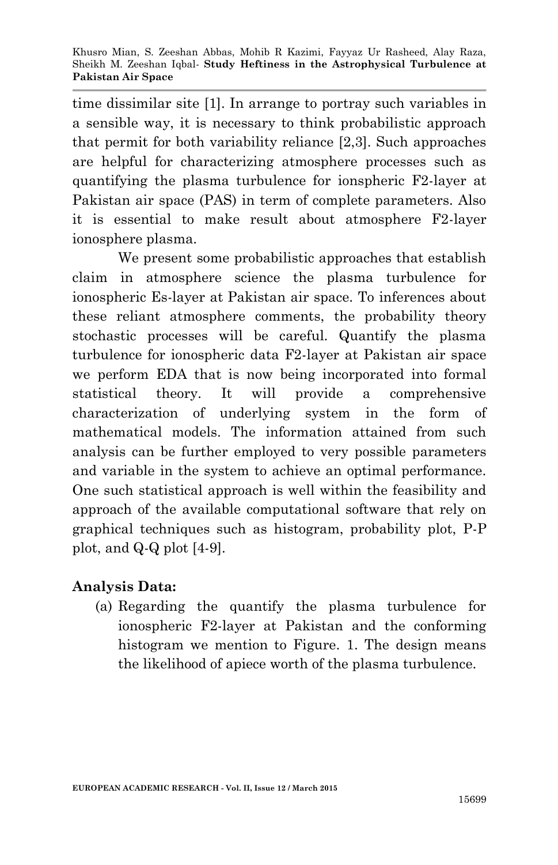time dissimilar site [1]. In arrange to portray such variables in a sensible way, it is necessary to think probabilistic approach that permit for both variability reliance [2,3]. Such approaches are helpful for characterizing atmosphere processes such as quantifying the plasma turbulence for ionspheric F2-layer at Pakistan air space (PAS) in term of complete parameters. Also it is essential to make result about atmosphere F2-layer ionosphere plasma.

We present some probabilistic approaches that establish claim in atmosphere science the plasma turbulence for ionospheric Es-layer at Pakistan air space. To inferences about these reliant atmosphere comments, the probability theory stochastic processes will be careful. Quantify the plasma turbulence for ionospheric data F2-layer at Pakistan air space we perform EDA that is now being incorporated into formal statistical theory. It will provide a comprehensive characterization of underlying system in the form of mathematical models. The information attained from such analysis can be further employed to very possible parameters and variable in the system to achieve an optimal performance. One such statistical approach is well within the feasibility and approach of the available computational software that rely on graphical techniques such as histogram, probability plot, P-P plot, and Q-Q plot [4-9].

#### **Analysis Data:**

(a) Regarding the quantify the plasma turbulence for ionospheric F2-layer at Pakistan and the conforming histogram we mention to Figure. 1. The design means the likelihood of apiece worth of the plasma turbulence.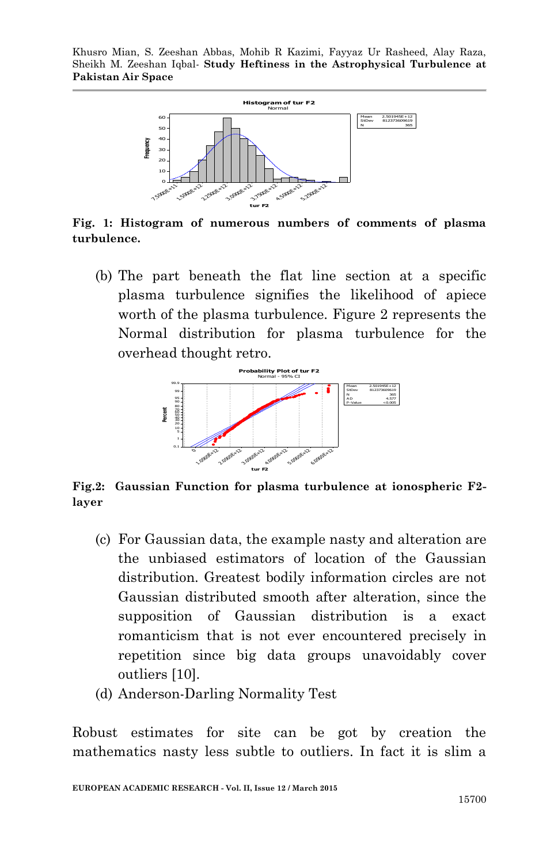

**Fig. 1: Histogram of numerous numbers of comments of plasma turbulence.**

(b) The part beneath the flat line section at a specific plasma turbulence signifies the likelihood of apiece worth of the plasma turbulence. Figure 2 represents the Normal distribution for plasma turbulence for the overhead thought retro.



**Fig.2: Gaussian Function for plasma turbulence at ionospheric F2 layer** 

- (c) For Gaussian data, the example nasty and alteration are the unbiased estimators of location of the Gaussian distribution. Greatest bodily information circles are not Gaussian distributed smooth after alteration, since the supposition of Gaussian distribution is a exact romanticism that is not ever encountered precisely in repetition since big data groups unavoidably cover outliers [10].
- (d) Anderson-Darling Normality Test

Robust estimates for site can be got by creation the mathematics nasty less subtle to outliers. In fact it is slim a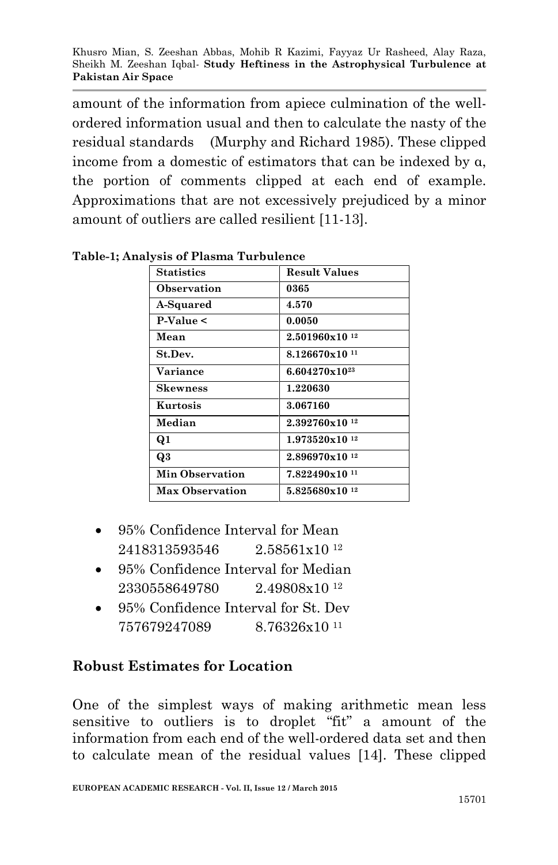amount of the information from apiece culmination of the wellordered information usual and then to calculate the nasty of the residual standards (Murphy and Richard 1985). These clipped income from a domestic of estimators that can be indexed by α, the portion of comments clipped at each end of example. Approximations that are not excessively prejudiced by a minor amount of outliers are called resilient [11-13].

| <b>Statistics</b>      | <b>Result Values</b>       |
|------------------------|----------------------------|
| Observation            | 0365                       |
| A-Squared              | 4.570                      |
| $P-Value <$            | 0.0050                     |
| Mean                   | $2.501960 \times 10^{12}$  |
| St.Dev.                | $8.126670x10^{11}$         |
| <b>Variance</b>        | $6.604270 \times 10^{23}$  |
| <b>Skewness</b>        | 1.220630                   |
| Kurtosis               | 3.067160                   |
| Median                 | 2.392760x10 <sup>12</sup>  |
| Q1                     | 1.973520x10 <sup>12</sup>  |
| Q3                     | $2.896970 \times 10^{-12}$ |
| <b>Min Observation</b> | 7.822490x10 <sup>11</sup>  |
| <b>Max Observation</b> | 5.825680x10 <sup>12</sup>  |

**Table-1; Analysis of Plasma Turbulence** 

- 95% Confidence Interval for Mean 2418313593546 2.58561x10 <sup>12</sup>
- 95% Confidence Interval for Median 2330558649780 2.49808x10 <sup>12</sup>
- 95% Confidence Interval for St. Dev 757679247089 8.76326x10 <sup>11</sup>

## **Robust Estimates for Location**

One of the simplest ways of making arithmetic mean less sensitive to outliers is to droplet "fit" a amount of the information from each end of the well-ordered data set and then to calculate mean of the residual values [14]. These clipped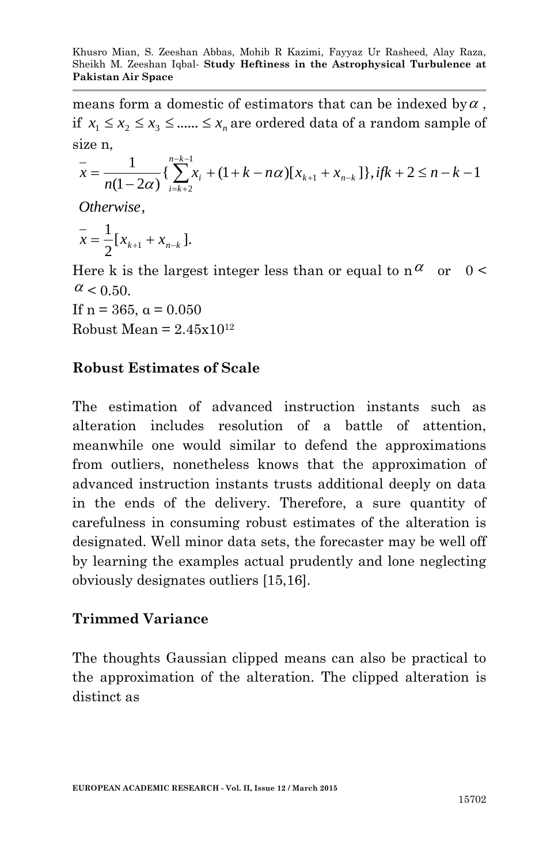means form a domestic of estimators that can be indexed by  $\alpha$ , if  $x_1 \le x_2 \le x_3 \le \dots \le x_n$  are ordered data of a random sample of size n,

$$
\overline{x} = \frac{1}{n(1-2\alpha)} \left\{ \sum_{i=k+2}^{n-k-1} x_i + (1+k-n\alpha) [x_{k+1} + x_{n-k}] \right\}, \text{if } k+2 \le n-k-1
$$

, *Otherwise*

$$
\bar{x} = \frac{1}{2} [x_{k+1} + x_{n-k}].
$$

Here k is the largest integer less than or equal to  $n^{\alpha}$  or  $0 <$  $\alpha$  < 0.50.

If  $n = 365$ ,  $\alpha = 0.050$ 

Robust Mean =  $2.45x10^{12}$ 

### **Robust Estimates of Scale**

The estimation of advanced instruction instants such as alteration includes resolution of a battle of attention, meanwhile one would similar to defend the approximations from outliers, nonetheless knows that the approximation of advanced instruction instants trusts additional deeply on data in the ends of the delivery. Therefore, a sure quantity of carefulness in consuming robust estimates of the alteration is designated. Well minor data sets, the forecaster may be well off by learning the examples actual prudently and lone neglecting obviously designates outliers [15,16].

#### **Trimmed Variance**

The thoughts Gaussian clipped means can also be practical to the approximation of the alteration. The clipped alteration is distinct as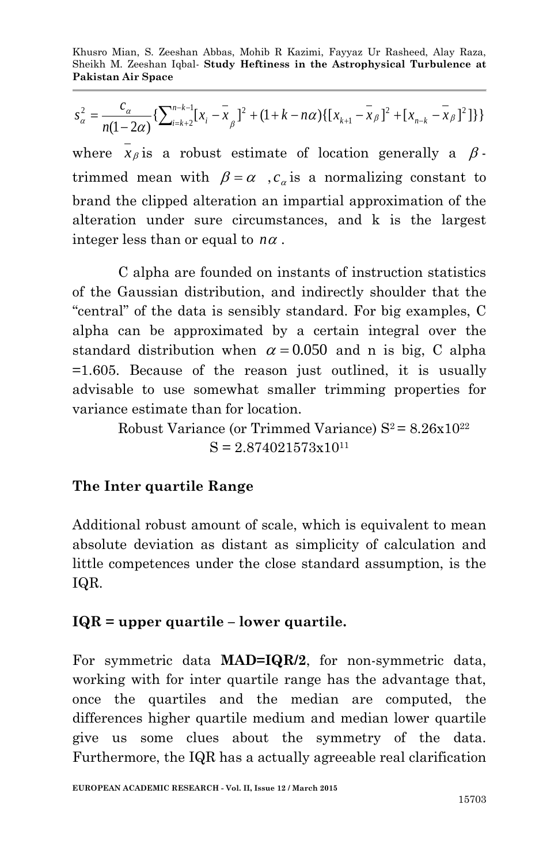$$
s_{\alpha}^{2} = \frac{c_{\alpha}}{n(1-2\alpha)} \left\{ \sum_{i=k+2}^{n-k-1} [x_{i} - \bar{x}_{\beta}]^{2} + (1+k-n\alpha) \{ [x_{k+1} - \bar{x}_{\beta}]^{2} + [x_{n-k} - \bar{x}_{\beta}]^{2} \} \right\}
$$

where  $x_{\beta}$  is a robust estimate of location generally a  $\beta$ trimmed mean with  $\beta = \alpha$ ,  $c_{\alpha}$  is a normalizing constant to brand the clipped alteration an impartial approximation of the alteration under sure circumstances, and k is the largest integer less than or equal to  $n\alpha$ .

C alpha are founded on instants of instruction statistics of the Gaussian distribution, and indirectly shoulder that the "central" of the data is sensibly standard. For big examples, C alpha can be approximated by a certain integral over the standard distribution when  $\alpha = 0.050$  and n is big, C alpha =1.605. Because of the reason just outlined, it is usually advisable to use somewhat smaller trimming properties for variance estimate than for location.

> Robust Variance (or Trimmed Variance)  $S^2 = 8.26x10^{22}$  $S = 2.874021573x10^{11}$

#### **The Inter quartile Range**

Additional robust amount of scale, which is equivalent to mean absolute deviation as distant as simplicity of calculation and little competences under the close standard assumption, is the IQR.

#### **IQR = upper quartile – lower quartile.**

For symmetric data **MAD=IQR/2**, for non-symmetric data, working with for inter quartile range has the advantage that, once the quartiles and the median are computed, the differences higher quartile medium and median lower quartile give us some clues about the symmetry of the data. Furthermore, the IQR has a actually agreeable real clarification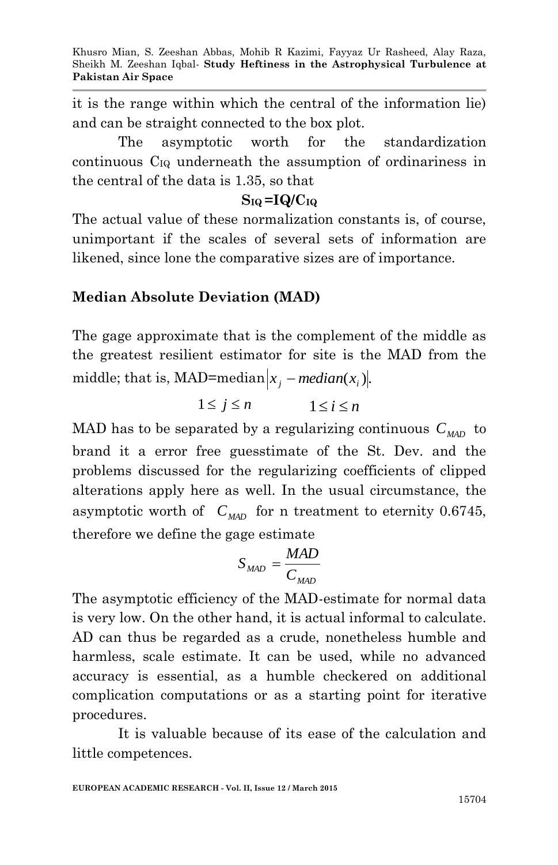it is the range within which the central of the information lie) and can be straight connected to the box plot.

The asymptotic worth for the standardization continuous CIQ underneath the assumption of ordinariness in the central of the data is 1.35, so that

#### $S_{IQ} = IQ/C_{IQ}$

The actual value of these normalization constants is, of course, unimportant if the scales of several sets of information are likened, since lone the comparative sizes are of importance.

#### **Median Absolute Deviation (MAD)**

The gage approximate that is the complement of the middle as the greatest resilient estimator for site is the MAD from the middle; that is, MAD=median $|x_j - \text{median}(x_i)|$ .

$$
1\leq j\leq n \hspace{1cm} 1\leq i\leq n
$$

MAD has to be separated by a regularizing continuous *CMAD* to brand it a error free guesstimate of the St. Dev. and the problems discussed for the regularizing coefficients of clipped alterations apply here as well. In the usual circumstance, the asymptotic worth of  $C_{MAD}$  for n treatment to eternity 0.6745, therefore we define the gage estimate

$$
S_{MAD} = \frac{MAD}{C_{MAD}}
$$

The asymptotic efficiency of the MAD-estimate for normal data is very low. On the other hand, it is actual informal to calculate. AD can thus be regarded as a crude, nonetheless humble and harmless, scale estimate. It can be used, while no advanced accuracy is essential, as a humble checkered on additional complication computations or as a starting point for iterative procedures.

It is valuable because of its ease of the calculation and little competences.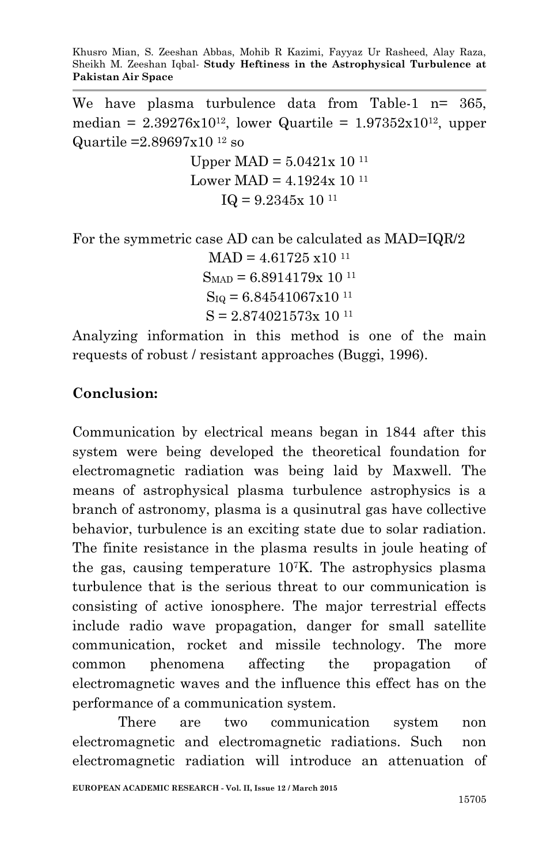We have plasma turbulence data from Table-1 n= 365, median =  $2.39276x10^{12}$ , lower Quartile =  $1.97352x10^{12}$ , upper Quartile =  $2.89697 \times 10^{-12}$  so

> Upper MAD =  $5.0421x 10^{11}$ Lower MAD =  $4.1924x 10^{11}$  $IQ = 9.2345x 10^{11}$

For the symmetric case AD can be calculated as MAD=IQR/2

 $MAD = 4.61725 \times 10^{-11}$  $S<sub>MAP</sub> = 6.8914179x 10<sup>11</sup>$  $S_{IQ} = 6.84541067x10^{11}$  $S = 2.874021573x 10^{11}$ 

Analyzing information in this method is one of the main requests of robust / resistant approaches (Buggi, 1996).

### **Conclusion:**

Communication by electrical means began in 1844 after this system were being developed the theoretical foundation for electromagnetic radiation was being laid by Maxwell. The means of astrophysical plasma turbulence astrophysics is a branch of astronomy, plasma is a qusinutral gas have collective behavior, turbulence is an exciting state due to solar radiation. The finite resistance in the plasma results in joule heating of the gas, causing temperature 107K. The astrophysics plasma turbulence that is the serious threat to our communication is consisting of active ionosphere. The major terrestrial effects include radio wave propagation, danger for small satellite communication, rocket and missile technology. The more common phenomena affecting the propagation of electromagnetic waves and the influence this effect has on the performance of a communication system.

There are two communication system non electromagnetic and electromagnetic radiations. Such non electromagnetic radiation will introduce an attenuation of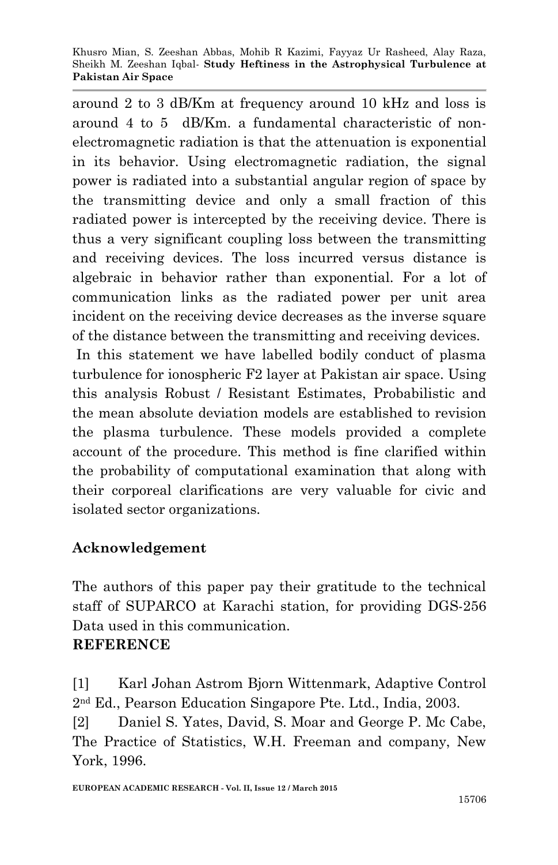around 2 to 3 dB/Km at frequency around 10 kHz and loss is around 4 to 5 dB/Km. a fundamental characteristic of nonelectromagnetic radiation is that the attenuation is exponential in its behavior. Using electromagnetic radiation, the signal power is radiated into a substantial angular region of space by the transmitting device and only a small fraction of this radiated power is intercepted by the receiving device. There is thus a very significant coupling loss between the transmitting and receiving devices. The loss incurred versus distance is algebraic in behavior rather than exponential. For a lot of communication links as the radiated power per unit area incident on the receiving device decreases as the inverse square of the distance between the transmitting and receiving devices.

In this statement we have labelled bodily conduct of plasma turbulence for ionospheric F2 layer at Pakistan air space. Using this analysis Robust / Resistant Estimates, Probabilistic and the mean absolute deviation models are established to revision the plasma turbulence. These models provided a complete account of the procedure. This method is fine clarified within the probability of computational examination that along with their corporeal clarifications are very valuable for civic and isolated sector organizations.

## **Acknowledgement**

The authors of this paper pay their gratitude to the technical staff of SUPARCO at Karachi station, for providing DGS-256 Data used in this communication.

#### **REFERENCE**

[1] Karl Johan Astrom Bjorn Wittenmark, Adaptive Control 2nd Ed., Pearson Education Singapore Pte. Ltd., India, 2003.

[2] Daniel S. Yates, David, S. Moar and George P. Mc Cabe, The Practice of Statistics, W.H. Freeman and company, New York, 1996.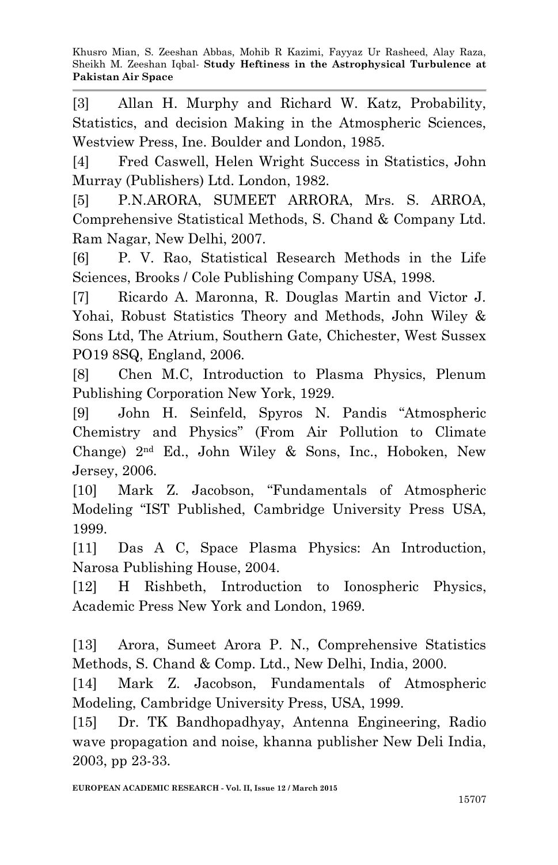[3] Allan H. Murphy and Richard W. Katz, Probability, Statistics, and decision Making in the Atmospheric Sciences, Westview Press, Ine. Boulder and London, 1985.

[4] Fred Caswell, Helen Wright Success in Statistics, John Murray (Publishers) Ltd. London, 1982.

[5] P.N.ARORA, SUMEET ARRORA, Mrs. S. ARROA, Comprehensive Statistical Methods, S. Chand & Company Ltd. Ram Nagar, New Delhi, 2007.

[6] P. V. Rao, Statistical Research Methods in the Life Sciences, Brooks / Cole Publishing Company USA, 1998.

[7] Ricardo A. Maronna, R. Douglas Martin and Victor J. Yohai, Robust Statistics Theory and Methods, John Wiley & Sons Ltd, The Atrium, Southern Gate, Chichester, West Sussex PO19 8SQ, England, 2006.

[8] Chen M.C, Introduction to Plasma Physics, Plenum Publishing Corporation New York, 1929.

[9] John H. Seinfeld, Spyros N. Pandis "Atmospheric Chemistry and Physics" (From Air Pollution to Climate Change) 2nd Ed., John Wiley & Sons, Inc., Hoboken, New Jersey, 2006.

[10] Mark Z. Jacobson, "Fundamentals of Atmospheric Modeling "IST Published, Cambridge University Press USA, 1999.

[11] Das A C, Space Plasma Physics: An Introduction, Narosa Publishing House, 2004.

[12] H Rishbeth, Introduction to Ionospheric Physics, Academic Press New York and London, 1969.

[13] Arora, Sumeet Arora P. N., Comprehensive Statistics Methods, S. Chand & Comp. Ltd., New Delhi, India, 2000.

[14] Mark Z. Jacobson, Fundamentals of Atmospheric Modeling, Cambridge University Press, USA, 1999.

[15] Dr. TK Bandhopadhyay, Antenna Engineering, Radio wave propagation and noise, khanna publisher New Deli India, 2003, pp 23-33.